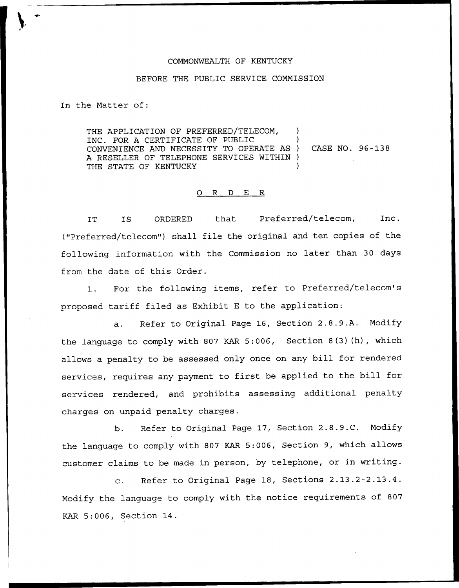## COMMONWEALTH OF KENTUCKY

## BEFORE THE PUBLIC SERVICE COMMISSION

In the Matter of:

THE APPLICATION OF PREFERRED/TELECOM, INC. FOR A CERTIFICATE OF PUBLIC ) CONVENIENCE AND NECESSITY TO OPERATE AS ) A RESELLER OF TELEPHONE SERVICES WITHIN ) THE STATE OF KENTUCKY CASE NO. 96 —138

## 0 R <sup>D</sup> E R

IT IS ORDERED that Preferred/telecom, Inc. ("Preferred/telecom") shall file the original and ten copies of the following information with the Commission no later than 30 days from the date of this Order.

1. For the following items, refer to Preferred/telecom's proposed tariff filed as Exhibit <sup>E</sup> to the application:

a. Refer to Original Page 16, Section 2.8.9.A. Modify the language to comply with 807 KAR 5:006, Section 8(3) (h), which allows a penalty to be assessed only once on any bill for rendered services, requires any payment to first be applied to the bill for services rendered, and prohibits assessing additional penalty charges on unpaid penalty charges.

b. Refer to Original Page 17, Section 2.8.9.C. Modify the language to comply with 807 KAR 5:006, Section 9, which allows customer claims to be made in person, by telephone, or in writing.

c. Refer to Original Page 18, Sections 2.13.2-2.13.4. Modify the language to comply with the notice requirements of 807 KAR 5:006, Section 14.